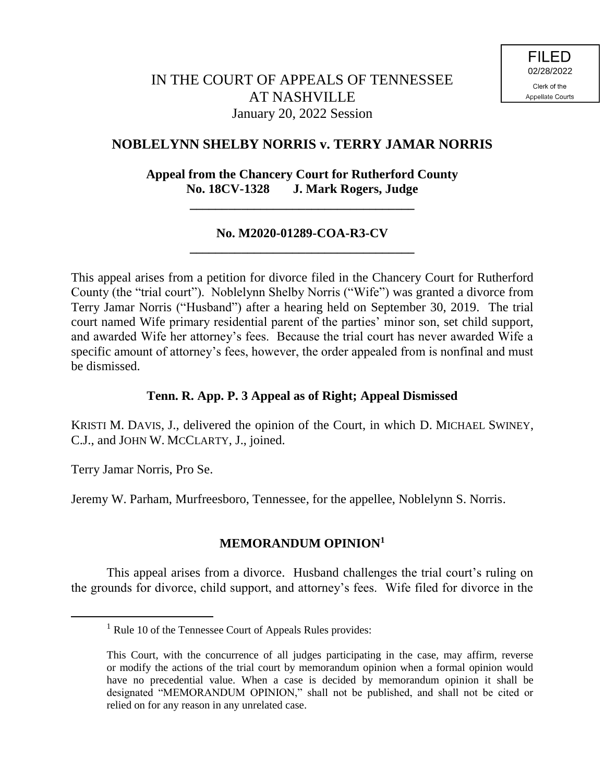# **NOBLELYNN SHELBY NORRIS v. TERRY JAMAR NORRIS**

# **Appeal from the Chancery Court for Rutherford County No. 18CV-1328 J. Mark Rogers, Judge**

**\_\_\_\_\_\_\_\_\_\_\_\_\_\_\_\_\_\_\_\_\_\_\_\_\_\_\_\_\_\_\_\_\_\_\_**

#### **No. M2020-01289-COA-R3-CV \_\_\_\_\_\_\_\_\_\_\_\_\_\_\_\_\_\_\_\_\_\_\_\_\_\_\_\_\_\_\_\_\_\_\_**

This appeal arises from a petition for divorce filed in the Chancery Court for Rutherford County (the "trial court"). Noblelynn Shelby Norris ("Wife") was granted a divorce from Terry Jamar Norris ("Husband") after a hearing held on September 30, 2019. The trial court named Wife primary residential parent of the parties' minor son, set child support, and awarded Wife her attorney's fees. Because the trial court has never awarded Wife a specific amount of attorney's fees, however, the order appealed from is nonfinal and must be dismissed.

### **Tenn. R. App. P. 3 Appeal as of Right; Appeal Dismissed**

KRISTI M. DAVIS, J., delivered the opinion of the Court, in which D. MICHAEL SWINEY, C.J., and JOHN W. MCCLARTY, J., joined.

Terry Jamar Norris, Pro Se.

 $\overline{a}$ 

Jeremy W. Parham, Murfreesboro, Tennessee, for the appellee, Noblelynn S. Norris.

### **MEMORANDUM OPINION<sup>1</sup>**

This appeal arises from a divorce. Husband challenges the trial court's ruling on the grounds for divorce, child support, and attorney's fees. Wife filed for divorce in the

<sup>&</sup>lt;sup>1</sup> Rule 10 of the Tennessee Court of Appeals Rules provides:

This Court, with the concurrence of all judges participating in the case, may affirm, reverse or modify the actions of the trial court by memorandum opinion when a formal opinion would have no precedential value. When a case is decided by memorandum opinion it shall be designated "MEMORANDUM OPINION," shall not be published, and shall not be cited or relied on for any reason in any unrelated case.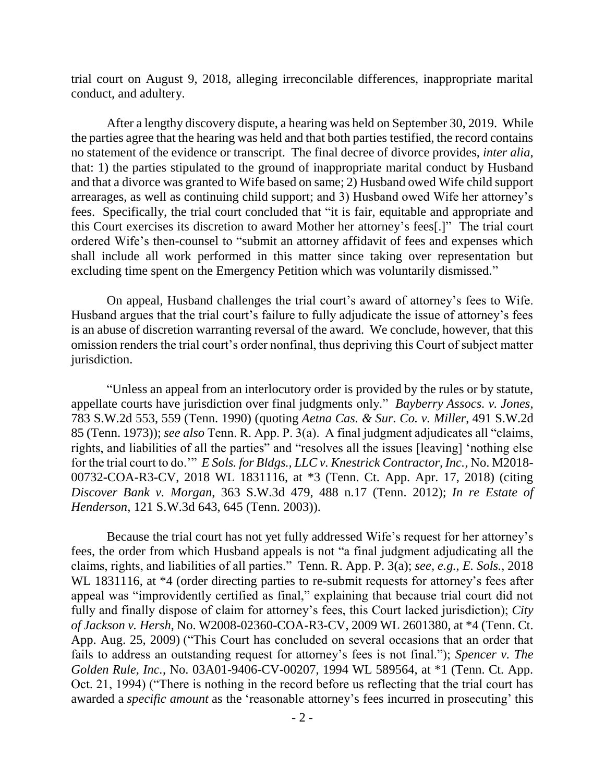trial court on August 9, 2018, alleging irreconcilable differences, inappropriate marital conduct, and adultery.

After a lengthy discovery dispute, a hearing was held on September 30, 2019. While the parties agree that the hearing was held and that both parties testified, the record contains no statement of the evidence or transcript. The final decree of divorce provides, *inter alia*, that: 1) the parties stipulated to the ground of inappropriate marital conduct by Husband and that a divorce was granted to Wife based on same; 2) Husband owed Wife child support arrearages, as well as continuing child support; and 3) Husband owed Wife her attorney's fees. Specifically, the trial court concluded that "it is fair, equitable and appropriate and this Court exercises its discretion to award Mother her attorney's fees[.]" The trial court ordered Wife's then-counsel to "submit an attorney affidavit of fees and expenses which shall include all work performed in this matter since taking over representation but excluding time spent on the Emergency Petition which was voluntarily dismissed."

On appeal, Husband challenges the trial court's award of attorney's fees to Wife. Husband argues that the trial court's failure to fully adjudicate the issue of attorney's fees is an abuse of discretion warranting reversal of the award. We conclude, however, that this omission renders the trial court's order nonfinal, thus depriving this Court of subject matter jurisdiction.

"Unless an appeal from an interlocutory order is provided by the rules or by statute, appellate courts have jurisdiction over final judgments only." *Bayberry Assocs. v. Jones*, 783 S.W.2d 553, 559 (Tenn. 1990) (quoting *Aetna Cas. & Sur. Co. v. Miller*, 491 S.W.2d 85 (Tenn. 1973)); *see also* Tenn. R. App. P. 3(a). A final judgment adjudicates all "claims, rights, and liabilities of all the parties" and "resolves all the issues [leaving] 'nothing else for the trial court to do.'" *E Sols. for Bldgs., LLC v. Knestrick Contractor, Inc.*, No. M2018- 00732-COA-R3-CV, 2018 WL 1831116, at \*3 (Tenn. Ct. App. Apr. 17, 2018) (citing *Discover Bank v. Morgan*, 363 S.W.3d 479, 488 n.17 (Tenn. 2012); *In re Estate of Henderson*, 121 S.W.3d 643, 645 (Tenn. 2003)).

Because the trial court has not yet fully addressed Wife's request for her attorney's fees, the order from which Husband appeals is not "a final judgment adjudicating all the claims, rights, and liabilities of all parties." Tenn. R. App. P. 3(a); *see, e.g.*, *E. Sols.*, 2018 WL 1831116, at  $*4$  (order directing parties to re-submit requests for attorney's fees after appeal was "improvidently certified as final," explaining that because trial court did not fully and finally dispose of claim for attorney's fees, this Court lacked jurisdiction); *City of Jackson v. Hersh*, No. W2008-02360-COA-R3-CV, 2009 WL 2601380, at \*4 (Tenn. Ct. App. Aug. 25, 2009) ("This Court has concluded on several occasions that an order that fails to address an outstanding request for attorney's fees is not final."); *Spencer v. The Golden Rule, Inc.*, No. 03A01-9406-CV-00207, 1994 WL 589564, at \*1 (Tenn. Ct. App. Oct. 21, 1994) ("There is nothing in the record before us reflecting that the trial court has awarded a *specific amount* as the 'reasonable attorney's fees incurred in prosecuting' this